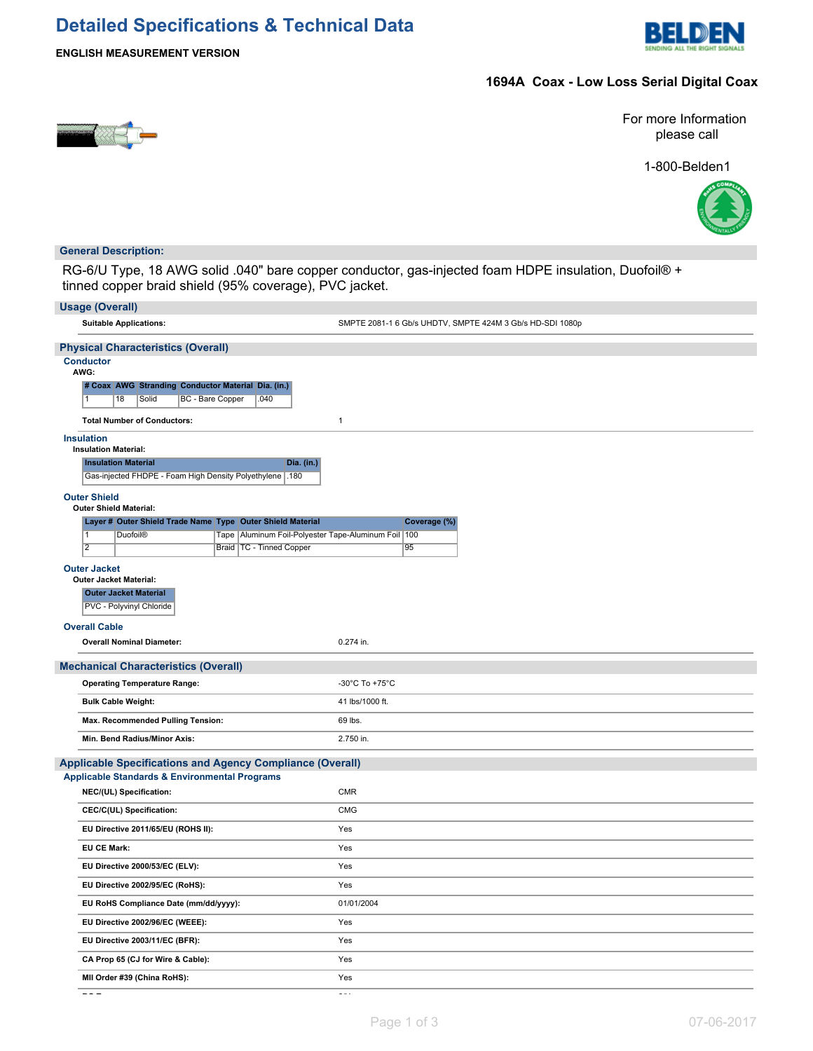# **Detailed Specifications & Technical Data**



**ENGLISH MEASUREMENT VERSION**

## **1694A Coax - Low Loss Serial Digital Coax**



For more Information please call

1-800-Belden1



## **General Description:**

RG-6/U Type, 18 AWG solid .040" bare copper conductor, gas-injected foam HDPE insulation, Duofoil® + tinned copper braid shield (95% coverage), PVC jacket.

| <b>Usage (Overall)</b>                                                                                                          |                                                           |  |  |  |  |  |  |
|---------------------------------------------------------------------------------------------------------------------------------|-----------------------------------------------------------|--|--|--|--|--|--|
| <b>Suitable Applications:</b>                                                                                                   | SMPTE 2081-1 6 Gb/s UHDTV, SMPTE 424M 3 Gb/s HD-SDI 1080p |  |  |  |  |  |  |
| <b>Physical Characteristics (Overall)</b>                                                                                       |                                                           |  |  |  |  |  |  |
| <b>Conductor</b><br>AWG:<br># Coax AWG Stranding Conductor Material Dia. (in.)<br>BC - Bare Copper<br>18<br>Solid<br>.040<br>11 |                                                           |  |  |  |  |  |  |
| <b>Total Number of Conductors:</b>                                                                                              | $\mathbf{1}$                                              |  |  |  |  |  |  |
| <b>Insulation</b><br><b>Insulation Material:</b>                                                                                |                                                           |  |  |  |  |  |  |
| <b>Insulation Material</b><br><b>Dia.</b> (in.)                                                                                 |                                                           |  |  |  |  |  |  |
| Gas-injected FHDPE - Foam High Density Polyethylene .180                                                                        |                                                           |  |  |  |  |  |  |
| <b>Outer Shield</b>                                                                                                             |                                                           |  |  |  |  |  |  |
| <b>Outer Shield Material:</b><br>Layer # Outer Shield Trade Name Type Outer Shield Material                                     | Coverage (%)                                              |  |  |  |  |  |  |
| $\overline{1}$<br>Tape   Aluminum Foil-Polyester Tape-Aluminum Foil   100<br><b>Duofoil®</b>                                    |                                                           |  |  |  |  |  |  |
| $\overline{2}$<br>Braid   TC - Tinned Copper                                                                                    | 95                                                        |  |  |  |  |  |  |
| <b>Outer Jacket</b>                                                                                                             |                                                           |  |  |  |  |  |  |
| <b>Outer Jacket Material:</b><br><b>Outer Jacket Material</b><br>PVC - Polyvinyl Chloride                                       |                                                           |  |  |  |  |  |  |
| <b>Overall Cable</b>                                                                                                            |                                                           |  |  |  |  |  |  |
| <b>Overall Nominal Diameter:</b>                                                                                                | 0.274 in.                                                 |  |  |  |  |  |  |
| <b>Mechanical Characteristics (Overall)</b>                                                                                     |                                                           |  |  |  |  |  |  |
| <b>Operating Temperature Range:</b>                                                                                             | -30°C To +75°C                                            |  |  |  |  |  |  |
| <b>Bulk Cable Weight:</b>                                                                                                       | 41 lbs/1000 ft.                                           |  |  |  |  |  |  |
| Max. Recommended Pulling Tension:                                                                                               | 69 lbs.                                                   |  |  |  |  |  |  |
| Min. Bend Radius/Minor Axis:                                                                                                    | 2.750 in.                                                 |  |  |  |  |  |  |
| <b>Applicable Specifications and Agency Compliance (Overall)</b>                                                                |                                                           |  |  |  |  |  |  |
| <b>Applicable Standards &amp; Environmental Programs</b>                                                                        |                                                           |  |  |  |  |  |  |
| NEC/(UL) Specification:                                                                                                         | CMR                                                       |  |  |  |  |  |  |
| CEC/C(UL) Specification:                                                                                                        | <b>CMG</b>                                                |  |  |  |  |  |  |
| EU Directive 2011/65/EU (ROHS II):                                                                                              | Yes                                                       |  |  |  |  |  |  |
| <b>EU CE Mark:</b>                                                                                                              | Yes                                                       |  |  |  |  |  |  |
| EU Directive 2000/53/EC (ELV):                                                                                                  | Yes                                                       |  |  |  |  |  |  |
| EU Directive 2002/95/EC (RoHS):                                                                                                 | Yes                                                       |  |  |  |  |  |  |
| EU RoHS Compliance Date (mm/dd/yyyy):                                                                                           | 01/01/2004                                                |  |  |  |  |  |  |
| EU Directive 2002/96/EC (WEEE):                                                                                                 | Yes                                                       |  |  |  |  |  |  |
| EU Directive 2003/11/EC (BFR):                                                                                                  | Yes                                                       |  |  |  |  |  |  |
| CA Prop 65 (CJ for Wire & Cable):                                                                                               | Yes                                                       |  |  |  |  |  |  |
| MII Order #39 (China RoHS):                                                                                                     | Yes                                                       |  |  |  |  |  |  |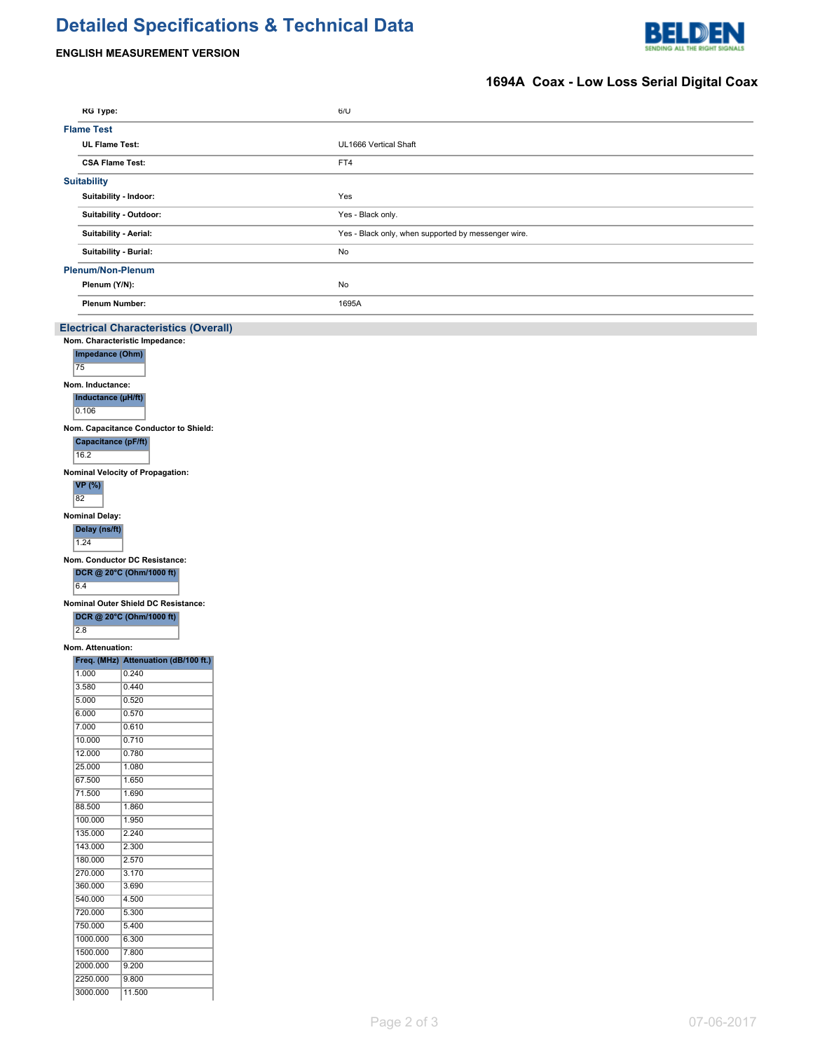# **Detailed Specifications & Technical Data**





## **1694A Coax - Low Loss Serial Digital Coax**

| RG Type:                 |                                             | 6/U                                                 |  |
|--------------------------|---------------------------------------------|-----------------------------------------------------|--|
| <b>Flame Test</b>        |                                             |                                                     |  |
| <b>UL Flame Test:</b>    |                                             | UL1666 Vertical Shaft                               |  |
| <b>CSA Flame Test:</b>   |                                             | FT4                                                 |  |
|                          |                                             |                                                     |  |
| <b>Suitability</b>       |                                             |                                                     |  |
|                          | Suitability - Indoor:                       | Yes                                                 |  |
|                          | Suitability - Outdoor:                      | Yes - Black only.                                   |  |
|                          | Suitability - Aerial:                       | Yes - Black only, when supported by messenger wire. |  |
|                          |                                             |                                                     |  |
|                          | Suitability - Burial:                       | No                                                  |  |
| <b>Plenum/Non-Plenum</b> |                                             |                                                     |  |
| Plenum (Y/N):            |                                             | No                                                  |  |
| <b>Plenum Number:</b>    |                                             | 1695A                                               |  |
|                          |                                             |                                                     |  |
|                          | <b>Electrical Characteristics (Overall)</b> |                                                     |  |
|                          | Nom. Characteristic Impedance:              |                                                     |  |
| Impedance (Ohm)          |                                             |                                                     |  |
| 75                       |                                             |                                                     |  |
| Nom. Inductance:         |                                             |                                                     |  |
| Inductance (µH/ft)       |                                             |                                                     |  |
| 0.106                    |                                             |                                                     |  |
|                          | Nom. Capacitance Conductor to Shield:       |                                                     |  |
| Capacitance (pF/ft)      |                                             |                                                     |  |
| 16.2                     |                                             |                                                     |  |
|                          | Nominal Velocity of Propagation:            |                                                     |  |
| <b>VP</b> (%)            |                                             |                                                     |  |
| 82                       |                                             |                                                     |  |
| <b>Nominal Delay:</b>    |                                             |                                                     |  |
| Delay (ns/ft)            |                                             |                                                     |  |
| 1.24                     |                                             |                                                     |  |
|                          | Nom. Conductor DC Resistance:               |                                                     |  |
|                          | DCR @ 20°C (Ohm/1000 ft)                    |                                                     |  |
| 6.4                      |                                             |                                                     |  |
|                          | Nominal Outer Shield DC Resistance:         |                                                     |  |
|                          | DCR @ 20°C (Ohm/1000 ft)                    |                                                     |  |
| $\overline{2.8}$         |                                             |                                                     |  |
| Nom. Attenuation:        |                                             |                                                     |  |
|                          | Freq. (MHz) Attenuation (dB/100 ft.)        |                                                     |  |
| 1.000                    | 0.240                                       |                                                     |  |
| 3.580                    | 0.440                                       |                                                     |  |
| 5.000                    | 0.520                                       |                                                     |  |
| 6.000                    | 0.570                                       |                                                     |  |
| 7.000                    | 0.610                                       |                                                     |  |
| 10.000                   | 0.710                                       |                                                     |  |
| 12.000                   | 0.780                                       |                                                     |  |
| 25.000                   | 1.080                                       |                                                     |  |
| 67.500                   | 1.650                                       |                                                     |  |
| 71.500<br>88.500         | 1.690                                       |                                                     |  |
| 100.000                  | 1.860<br>1.950                              |                                                     |  |
| 135.000                  | 2.240                                       |                                                     |  |
| 143.000                  | 2.300                                       |                                                     |  |
| 180.000                  | 2.570                                       |                                                     |  |
| 270.000                  | 3.170                                       |                                                     |  |
| 360.000                  | 3.690                                       |                                                     |  |
| 540.000                  | 4.500                                       |                                                     |  |
| 720.000                  | 5.300                                       |                                                     |  |
| 750.000                  | 5.400                                       |                                                     |  |
| 1000.000                 | 6.300                                       |                                                     |  |
| 1500.000                 | 7.800                                       |                                                     |  |
| 2000.000                 | 9.200                                       |                                                     |  |
| 2250.000                 | 9.800                                       |                                                     |  |
| 3000.000                 | 11.500                                      |                                                     |  |